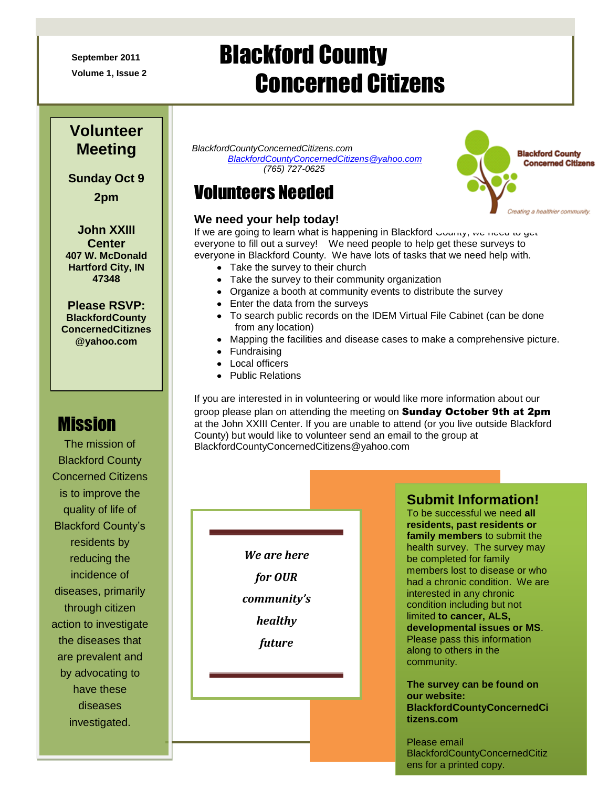**September 2011**

**Volume 1, Issue 2**

# Blackford County Concerned Citizens

### **Volunteer Meeting**

**Sunday Oct 9 2pm**

**John XXIII Center 407 W. McDonald Hartford City, IN 47348**

**Please RSVP: BlackfordCounty ConcernedCitiznes @yahoo.com**

# **Mission**

The mission of Blackford County Concerned Citizens is to improve the quality of life of Blackford County's residents by reducing the incidence of diseases, primarily through citizen action to investigate the diseases that are prevalent and by advocating to have these diseases investigated.

*BlackfordCountyConcernedCitizens.com [BlackfordCountyConcernedCitizens@yahoo.com](mailto:BlackfordCountyConcernedCitizens@yahoo.com) (765) 727-0625*

# Volunteers Needed

#### **We need your help today!**

If we are going to learn what is happening in Blackford County, we need to get everyone to fill out a survey! We need people to help get these surveys to everyone in Blackford County. We have lots of tasks that we need help with.

- Take the survey to their church
- Take the survey to their community organization
- Organize a booth at community events to distribute the survey
- Enter the data from the surveys
- To search public records on the IDEM Virtual File Cabinet (can be done from any location)
- Mapping the facilities and disease cases to make a comprehensive picture.
- Fundraising
- Local officers
- Public Relations

If you are interested in in volunteering or would like more information about our groop please plan on attending the meeting on **Sunday October 9th at 2pm** at the John XXIII Center. If you are unable to attend (or you live outside Blackford County) but would like to volunteer send an email to the group at BlackfordCountyConcernedCitizens@yahoo.com

> *We are here for OUR community's healthy future*

#### **Submit Information!**

**France To be successful we need all residents, past residents or**  $\blacksquare$ **To be successful we health survey.** The survey may  $\frac{1}{2}$  be completed for family members lost to disease or who **The survey may be condition.** We are family members in any chronic<br>Condition including but not **Example 2** imited **to cancer, ALS, developmental issues or MS. EXECUTE:** Please pass this information along to others in the community. To be successful we need **all family members** to submit the interested in any chronic along to others in the

**e-for-blackform-control-control**<br>**The survey can be found on our website: BlackfordCountyConcernedCi tizens.com** 

> Please email BlackfordCountyConcernedCitiz ens for a printed copy.